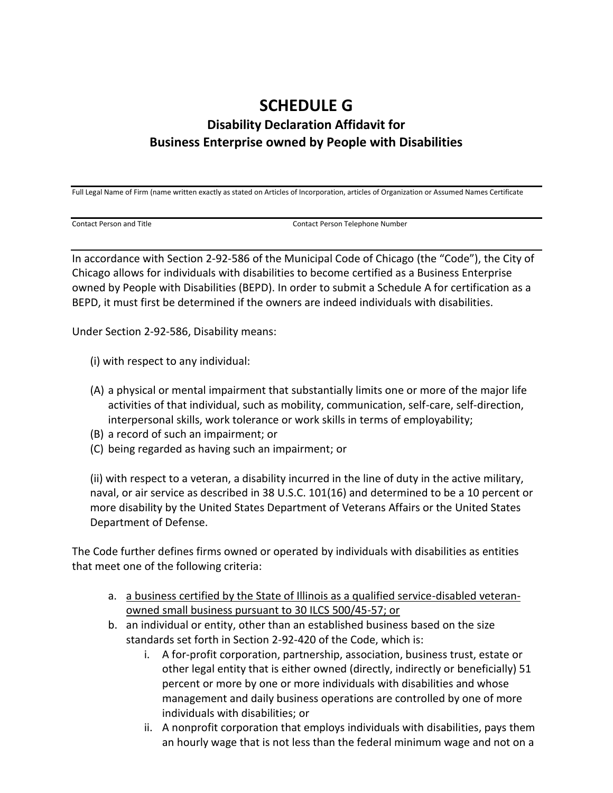## **SCHEDULE G Disability Declaration Affidavit for Business Enterprise owned by People with Disabilities**

Full Legal Name of Firm (name written exactly as stated on Articles of Incorporation, articles of Organization or Assumed Names Certificate

Contact Person and Title Contact Person Telephone Number

In accordance with Section 2-92-586 of the Municipal Code of Chicago (the "Code"), the City of Chicago allows for individuals with disabilities to become certified as a Business Enterprise owned by People with Disabilities (BEPD). In order to submit a Schedule A for certification as a BEPD, it must first be determined if the owners are indeed individuals with disabilities.

Under Section 2-92-586, Disability means:

- (i) with respect to any individual:
- (A) a physical or mental impairment that substantially limits one or more of the major life activities of that individual, such as mobility, communication, self-care, self-direction, interpersonal skills, work tolerance or work skills in terms of employability;
- (B) a record of such an impairment; or
- (C) being regarded as having such an impairment; or

(ii) with respect to a veteran, a disability incurred in the line of duty in the active military, naval, or air service as described in 38 U.S.C. 101(16) and determined to be a 10 percent or more disability by the United States Department of Veterans Affairs or the United States Department of Defense.

The Code further defines firms owned or operated by individuals with disabilities as entities that meet one of the following criteria:

- a. a business certified by the State of Illinois as a qualified service-disabled veteranowned small business pursuant to 30 ILCS 500/45-57; or
- b. an individual or entity, other than an established business based on the size standards set forth in Section 2-92-420 of the Code, which is:
	- i. A for-profit corporation, partnership, association, business trust, estate or other legal entity that is either owned (directly, indirectly or beneficially) 51 percent or more by one or more individuals with disabilities and whose management and daily business operations are controlled by one of more individuals with disabilities; or
	- ii. A nonprofit corporation that employs individuals with disabilities, pays them an hourly wage that is not less than the federal minimum wage and not on a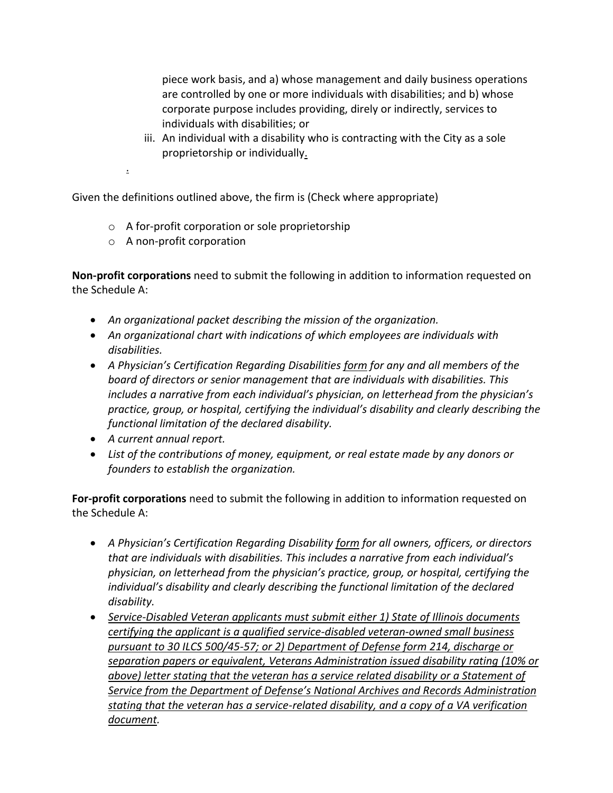piece work basis, and a) whose management and daily business operations are controlled by one or more individuals with disabilities; and b) whose corporate purpose includes providing, direly or indirectly, services to individuals with disabilities; or

iii. An individual with a disability who is contracting with the City as a sole proprietorship or individually.

.

Given the definitions outlined above, the firm is (Check where appropriate)

- o A for-profit corporation or sole proprietorship
- o A non-profit corporation

**Non-profit corporations** need to submit the following in addition to information requested on the Schedule A:

- *An organizational packet describing the mission of the organization.*
- *An organizational chart with indications of which employees are individuals with disabilities.*
- *A Physician's Certification Regarding Disabilities form for any and all members of the board of directors or senior management that are individuals with disabilities. This includes a narrative from each individual's physician, on letterhead from the physician's practice, group, or hospital, certifying the individual's disability and clearly describing the functional limitation of the declared disability.*
- *A current annual report.*
- *List of the contributions of money, equipment, or real estate made by any donors or founders to establish the organization.*

**For-profit corporations** need to submit the following in addition to information requested on the Schedule A:

- *A Physician's Certification Regarding Disability form for all owners, officers, or directors that are individuals with disabilities. This includes a narrative from each individual's physician, on letterhead from the physician's practice, group, or hospital, certifying the individual's disability and clearly describing the functional limitation of the declared disability.*
- *Service-Disabled Veteran applicants must submit either 1) State of Illinois documents certifying the applicant is a qualified service-disabled veteran-owned small business pursuant to 30 ILCS 500/45-57; or 2) Department of Defense form 214, discharge or separation papers or equivalent, Veterans Administration issued disability rating (10% or above) letter stating that the veteran has a service related disability or a Statement of Service from the Department of Defense's National Archives and Records Administration stating that the veteran has a service-related disability, and a copy of a VA verification document.*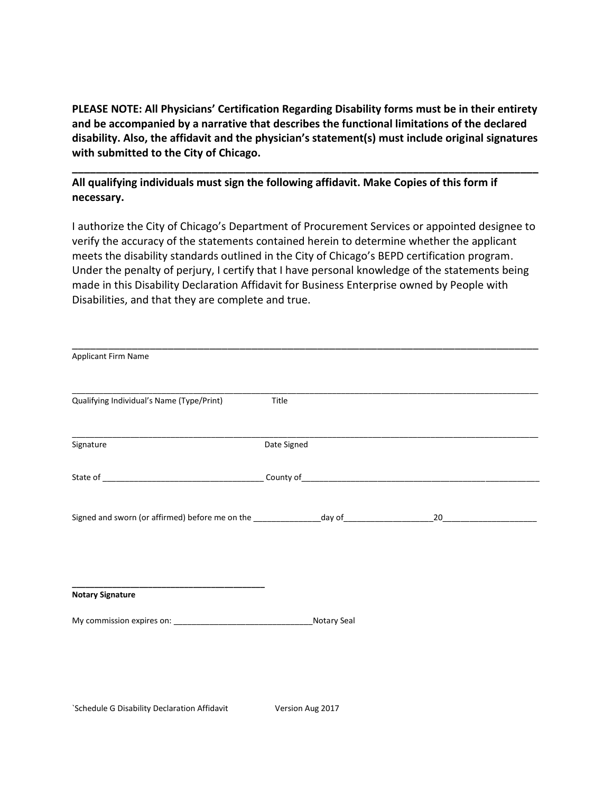**PLEASE NOTE: All Physicians' Certification Regarding Disability forms must be in their entirety and be accompanied by a narrative that describes the functional limitations of the declared disability. Also, the affidavit and the physician's statement(s) must include original signatures with submitted to the City of Chicago.** 

**\_\_\_\_\_\_\_\_\_\_\_\_\_\_\_\_\_\_\_\_\_\_\_\_\_\_\_\_\_\_\_\_\_\_\_\_\_\_\_\_\_\_\_\_\_\_\_\_\_\_\_\_\_\_\_\_\_\_\_\_\_\_\_\_\_\_\_\_\_\_\_\_\_\_\_\_\_\_**

**All qualifying individuals must sign the following affidavit. Make Copies of this form if necessary.**

I authorize the City of Chicago's Department of Procurement Services or appointed designee to verify the accuracy of the statements contained herein to determine whether the applicant meets the disability standards outlined in the City of Chicago's BEPD certification program. Under the penalty of perjury, I certify that I have personal knowledge of the statements being made in this Disability Declaration Affidavit for Business Enterprise owned by People with Disabilities, and that they are complete and true.

| Applicant Firm Name                                                                                 |             |    |  |
|-----------------------------------------------------------------------------------------------------|-------------|----|--|
|                                                                                                     |             |    |  |
| Qualifying Individual's Name (Type/Print)                                                           | Title       |    |  |
|                                                                                                     |             |    |  |
|                                                                                                     |             |    |  |
| Signature                                                                                           | Date Signed |    |  |
|                                                                                                     |             |    |  |
|                                                                                                     |             |    |  |
|                                                                                                     |             |    |  |
| Signed and sworn (or affirmed) before me on the __________________day of __________________________ |             | 20 |  |
|                                                                                                     |             |    |  |
|                                                                                                     |             |    |  |
|                                                                                                     |             |    |  |
|                                                                                                     |             |    |  |
| <b>Notary Signature</b>                                                                             |             |    |  |
|                                                                                                     |             |    |  |
|                                                                                                     |             |    |  |
|                                                                                                     |             |    |  |
|                                                                                                     |             |    |  |